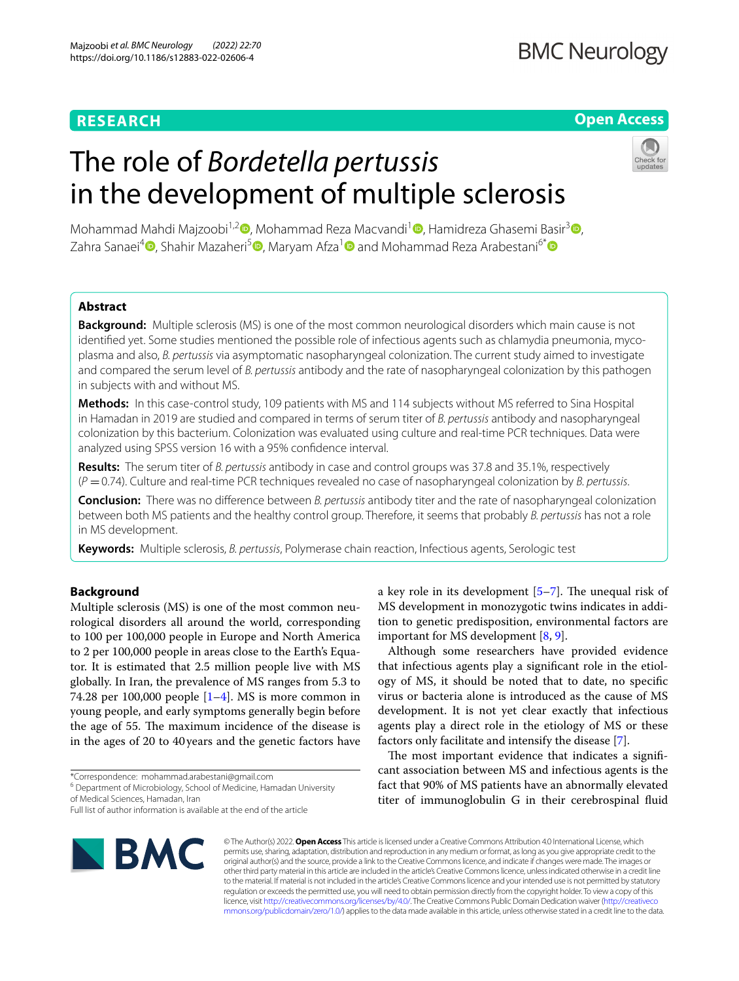# **RESEARCH**

# **Open Access**

# The role of *Bordetella pertussis* in the development of multiple sclerosis



Mohammad Mahdi Majzoobi<sup>1,2</sup> [,](https://orcid.org/0000-0002-4827-345X) Mohammad Reza Macvandi<sup>1</sup> , Hamidreza Ghasemi Basir<sup>3</sup> , Zahra Sanaei<sup>4</sup> [,](https://orcid.org/0000-0001-6039-9314) Shahir Mazaheri<sup>5</sup> [,](https://orcid.org/0000-0001-6812-8922) Maryam Afza<sup>[1](https://orcid.org/0000-0001-5472-079X)</sup> and Mohammad Reza Arabestani<sup>6[\\*](https://orcid.org/0000-0001-9991-8193)</sup> a

# **Abstract**

**Background:** Multiple sclerosis (MS) is one of the most common neurological disorders which main cause is not identifed yet. Some studies mentioned the possible role of infectious agents such as chlamydia pneumonia, mycoplasma and also, *B. pertussis* via asymptomatic nasopharyngeal colonization. The current study aimed to investigate and compared the serum level of *B. pertussis* antibody and the rate of nasopharyngeal colonization by this pathogen in subjects with and without MS.

**Methods:** In this case-control study, 109 patients with MS and 114 subjects without MS referred to Sina Hospital in Hamadan in 2019 are studied and compared in terms of serum titer of *B. pertussis* antibody and nasopharyngeal colonization by this bacterium. Colonization was evaluated using culture and real-time PCR techniques. Data were analyzed using SPSS version 16 with a 95% confdence interval.

**Results:** The serum titer of *B. pertussis* antibody in case and control groups was 37.8 and 35.1%, respectively (*P* =0.74). Culture and real-time PCR techniques revealed no case of nasopharyngeal colonization by *B. pertussis*.

**Conclusion:** There was no diference between *B. pertussis* antibody titer and the rate of nasopharyngeal colonization between both MS patients and the healthy control group. Therefore, it seems that probably *B. pertussis* has not a role in MS development.

**Keywords:** Multiple sclerosis, *B. pertussis*, Polymerase chain reaction, Infectious agents, Serologic test

# **Background**

Multiple sclerosis (MS) is one of the most common neurological disorders all around the world, corresponding to 100 per 100,000 people in Europe and North America to 2 per 100,000 people in areas close to the Earth's Equator. It is estimated that 2.5 million people live with MS globally. In Iran, the prevalence of MS ranges from 5.3 to 74.28 per 100,000 people  $[1-4]$  $[1-4]$ . MS is more common in young people, and early symptoms generally begin before the age of 55. The maximum incidence of the disease is in the ages of 20 to 40years and the genetic factors have

\*Correspondence: mohammad.arabestani@gmail.com

<sup>6</sup> Department of Microbiology, School of Medicine, Hamadan University of Medical Sciences, Hamadan, Iran

Full list of author information is available at the end of the article



a key role in its development  $[5-7]$  $[5-7]$ . The unequal risk of MS development in monozygotic twins indicates in addition to genetic predisposition, environmental factors are important for MS development [[8,](#page-4-4) [9](#page-4-5)].

Although some researchers have provided evidence that infectious agents play a signifcant role in the etiology of MS, it should be noted that to date, no specifc virus or bacteria alone is introduced as the cause of MS development. It is not yet clear exactly that infectious agents play a direct role in the etiology of MS or these factors only facilitate and intensify the disease [\[7](#page-4-3)].

The most important evidence that indicates a significant association between MS and infectious agents is the fact that 90% of MS patients have an abnormally elevated titer of immunoglobulin G in their cerebrospinal fuid

© The Author(s) 2022. **Open Access** This article is licensed under a Creative Commons Attribution 4.0 International License, which permits use, sharing, adaptation, distribution and reproduction in any medium or format, as long as you give appropriate credit to the original author(s) and the source, provide a link to the Creative Commons licence, and indicate if changes were made. The images or other third party material in this article are included in the article's Creative Commons licence, unless indicated otherwise in a credit line to the material. If material is not included in the article's Creative Commons licence and your intended use is not permitted by statutory regulation or exceeds the permitted use, you will need to obtain permission directly from the copyright holder. To view a copy of this licence, visit [http://creativecommons.org/licenses/by/4.0/.](http://creativecommons.org/licenses/by/4.0/) The Creative Commons Public Domain Dedication waiver ([http://creativeco](http://creativecommons.org/publicdomain/zero/1.0/) [mmons.org/publicdomain/zero/1.0/](http://creativecommons.org/publicdomain/zero/1.0/)) applies to the data made available in this article, unless otherwise stated in a credit line to the data.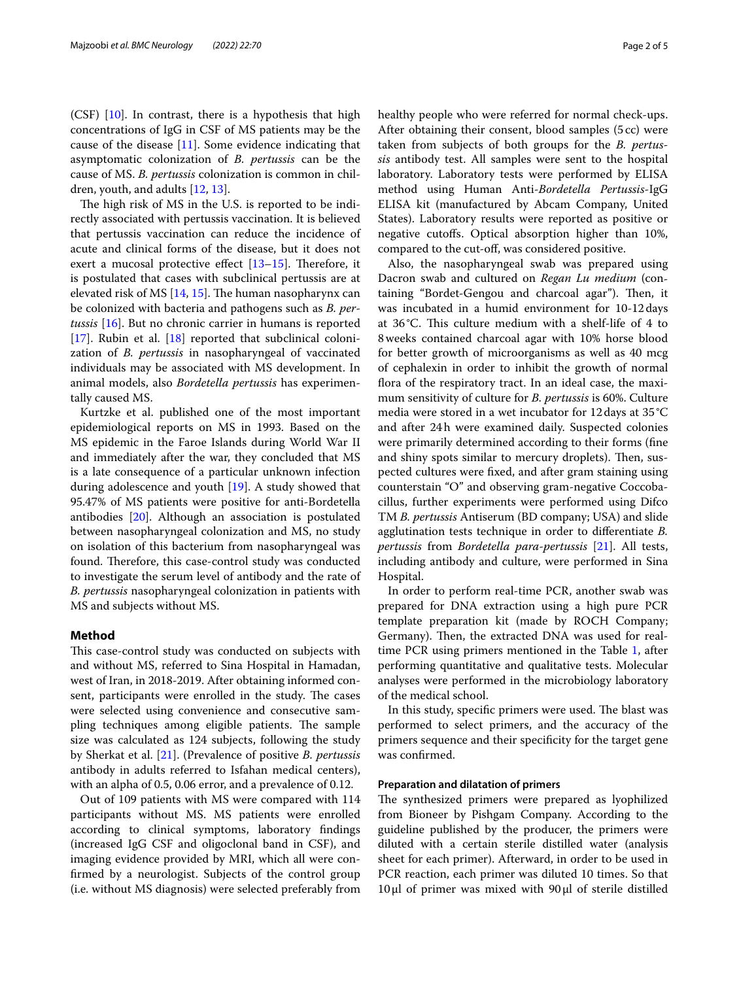(CSF)  $[10]$  $[10]$  $[10]$ . In contrast, there is a hypothesis that high concentrations of IgG in CSF of MS patients may be the cause of the disease  $[11]$ . Some evidence indicating that asymptomatic colonization of *B. pertussis* can be the cause of MS. *B. pertussis* colonization is common in children, youth, and adults [[12,](#page-4-8) [13](#page-4-9)].

The high risk of MS in the U.S. is reported to be indirectly associated with pertussis vaccination. It is believed that pertussis vaccination can reduce the incidence of acute and clinical forms of the disease, but it does not exert a mucosal protective effect  $[13-15]$  $[13-15]$ . Therefore, it is postulated that cases with subclinical pertussis are at elevated risk of MS  $[14, 15]$  $[14, 15]$  $[14, 15]$ . The human nasopharynx can be colonized with bacteria and pathogens such as *B. pertussis* [\[16\]](#page-4-12). But no chronic carrier in humans is reported [[17\]](#page-4-13). Rubin et al. [[18](#page-4-14)] reported that subclinical colonization of *B. pertussis* in nasopharyngeal of vaccinated individuals may be associated with MS development. In animal models, also *Bordetella pertussis* has experimentally caused MS.

Kurtzke et al. published one of the most important epidemiological reports on MS in 1993. Based on the MS epidemic in the Faroe Islands during World War II and immediately after the war, they concluded that MS is a late consequence of a particular unknown infection during adolescence and youth [[19\]](#page-4-15). A study showed that 95.47% of MS patients were positive for anti-Bordetella antibodies [\[20](#page-4-16)]. Although an association is postulated between nasopharyngeal colonization and MS, no study on isolation of this bacterium from nasopharyngeal was found. Therefore, this case-control study was conducted to investigate the serum level of antibody and the rate of *B. pertussis* nasopharyngeal colonization in patients with MS and subjects without MS.

# **Method**

This case-control study was conducted on subjects with and without MS, referred to Sina Hospital in Hamadan, west of Iran, in 2018-2019. After obtaining informed consent, participants were enrolled in the study. The cases were selected using convenience and consecutive sampling techniques among eligible patients. The sample size was calculated as 124 subjects, following the study by Sherkat et al. [\[21](#page-4-17)]. (Prevalence of positive *B. pertussis* antibody in adults referred to Isfahan medical centers), with an alpha of 0.5, 0.06 error, and a prevalence of 0.12.

Out of 109 patients with MS were compared with 114 participants without MS. MS patients were enrolled according to clinical symptoms, laboratory fndings (increased IgG CSF and oligoclonal band in CSF), and imaging evidence provided by MRI, which all were confrmed by a neurologist. Subjects of the control group (i.e. without MS diagnosis) were selected preferably from healthy people who were referred for normal check-ups. After obtaining their consent, blood samples (5cc) were taken from subjects of both groups for the *B. pertussis* antibody test. All samples were sent to the hospital laboratory. Laboratory tests were performed by ELISA method using Human Anti-*Bordetella Pertussis*-IgG ELISA kit (manufactured by Abcam Company, United States). Laboratory results were reported as positive or negative cutofs. Optical absorption higher than 10%, compared to the cut-of, was considered positive.

Also, the nasopharyngeal swab was prepared using Dacron swab and cultured on *Regan Lu medium* (containing "Bordet-Gengou and charcoal agar"). Then, it was incubated in a humid environment for 10-12days at 36°C. This culture medium with a shelf-life of 4 to 8weeks contained charcoal agar with 10% horse blood for better growth of microorganisms as well as 40 mcg of cephalexin in order to inhibit the growth of normal fora of the respiratory tract. In an ideal case, the maximum sensitivity of culture for *B. pertussis* is 60%. Culture media were stored in a wet incubator for 12days at 35°C and after 24h were examined daily. Suspected colonies were primarily determined according to their forms (fne and shiny spots similar to mercury droplets). Then, suspected cultures were fxed, and after gram staining using counterstain "O" and observing gram-negative Coccobacillus, further experiments were performed using Difco TM *B. pertussis* Antiserum (BD company; USA) and slide agglutination tests technique in order to diferentiate *B. pertussis* from *Bordetella para-pertussis* [\[21](#page-4-17)]. All tests, including antibody and culture, were performed in Sina Hospital.

In order to perform real-time PCR, another swab was prepared for DNA extraction using a high pure PCR template preparation kit (made by ROCH Company; Germany). Then, the extracted DNA was used for realtime PCR using primers mentioned in the Table [1](#page-2-0), after performing quantitative and qualitative tests. Molecular analyses were performed in the microbiology laboratory of the medical school.

In this study, specific primers were used. The blast was performed to select primers, and the accuracy of the primers sequence and their specifcity for the target gene was confrmed.

## **Preparation and dilatation of primers**

The synthesized primers were prepared as lyophilized from Bioneer by Pishgam Company. According to the guideline published by the producer, the primers were diluted with a certain sterile distilled water (analysis sheet for each primer). Afterward, in order to be used in PCR reaction, each primer was diluted 10 times. So that 10μl of primer was mixed with 90μl of sterile distilled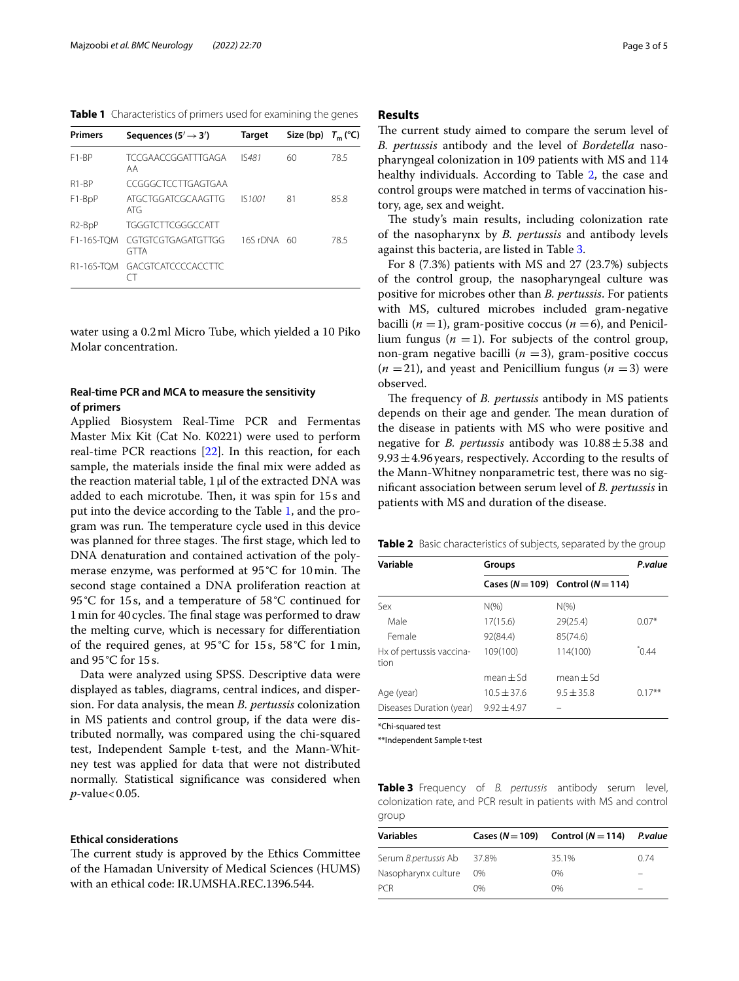<span id="page-2-0"></span>**Table 1** Characteristics of primers used for examining the genes

| <b>Primers</b>                   | Sequences (5 $'\rightarrow$ 3')   | <b>Target</b> | Size (bp) $T_m$ (°C) |      |
|----------------------------------|-----------------------------------|---------------|----------------------|------|
| F <sub>1</sub> -BP               | <b>TCCGAACCGGATTTGAGA</b><br>AA   | <b>IS481</b>  | 60                   | 78.5 |
| R <sub>1</sub> -RP               | CCGGGCTCCTTGAGTGAA                |               |                      |      |
| F1-BpP                           | ATGCTGGATCGCAAGTTG<br>ATG         | IS1001        | 81                   | 85.8 |
| R <sub>2</sub> -B <sub>p</sub> P | <b>TGGGTCTTCGGGCCATT</b>          |               |                      |      |
| F1-16S-TOM                       | CGTGTCGTGAGATGTTGG<br><b>GTTA</b> | 16S rDNA 60   |                      | 78.5 |
| R1-16S-TOM                       | GACGTCATCCCCACCTTC                |               |                      |      |

water using a 0.2ml Micro Tube, which yielded a 10 Piko Molar concentration.

# **Real‑time PCR and MCA to measure the sensitivity of primers**

Applied Biosystem Real-Time PCR and Fermentas Master Mix Kit (Cat No. K0221) were used to perform real-time PCR reactions [\[22](#page-4-18)]. In this reaction, for each sample, the materials inside the fnal mix were added as the reaction material table, 1μl of the extracted DNA was added to each microtube. Then, it was spin for 15s and put into the device according to the Table [1,](#page-2-0) and the program was run. The temperature cycle used in this device was planned for three stages. The first stage, which led to DNA denaturation and contained activation of the polymerase enzyme, was performed at  $95^{\circ}$ C for 10 min. The second stage contained a DNA proliferation reaction at 95°C for 15s, and a temperature of 58°C continued for 1 min for 40 cycles. The final stage was performed to draw the melting curve, which is necessary for diferentiation of the required genes, at 95°C for 15s, 58°C for 1min, and 95°C for 15s.

Data were analyzed using SPSS. Descriptive data were displayed as tables, diagrams, central indices, and dispersion. For data analysis, the mean *B. pertussis* colonization in MS patients and control group, if the data were distributed normally, was compared using the chi-squared test, Independent Sample t-test, and the Mann-Whitney test was applied for data that were not distributed normally. Statistical signifcance was considered when *p*-value<0.05.

## **Ethical considerations**

The current study is approved by the Ethics Committee of the Hamadan University of Medical Sciences (HUMS) with an ethical code: IR.UMSHA.REC.1396.544.

## **Results**

The current study aimed to compare the serum level of *B. pertussis* antibody and the level of *Bordetella* nasopharyngeal colonization in 109 patients with MS and 114 healthy individuals. According to Table [2](#page-2-1), the case and control groups were matched in terms of vaccination history, age, sex and weight.

The study's main results, including colonization rate of the nasopharynx by *B. pertussis* and antibody levels against this bacteria, are listed in Table [3.](#page-2-2)

For 8 (7.3%) patients with MS and 27 (23.7%) subjects of the control group, the nasopharyngeal culture was positive for microbes other than *B. pertussis*. For patients with MS, cultured microbes included gram-negative bacilli  $(n = 1)$ , gram-positive coccus  $(n = 6)$ , and Penicillium fungus  $(n = 1)$ . For subjects of the control group, non-gram negative bacilli  $(n = 3)$ , gram-positive coccus  $(n = 21)$ , and yeast and Penicillium fungus  $(n = 3)$  were observed.

The frequency of *B. pertussis* antibody in MS patients depends on their age and gender. The mean duration of the disease in patients with MS who were positive and negative for *B. pertussis* antibody was  $10.88 \pm 5.38$  and  $9.93 \pm 4.96$  years, respectively. According to the results of the Mann-Whitney nonparametric test, there was no signifcant association between serum level of *B. pertussis* in patients with MS and duration of the disease.

<span id="page-2-1"></span>**Table 2** Basic characteristics of subjects, separated by the group

| Variable                         | Groups        | P.value                               |           |
|----------------------------------|---------------|---------------------------------------|-----------|
|                                  |               | Cases ( $N=109$ ) Control ( $N=114$ ) |           |
| Sex                              | $N(\% )$      | $N(\%)$                               |           |
| Male                             | 17(15.6)      | 29(25.4)                              | $0.07*$   |
| Female                           | 92(84.4)      | 85(74.6)                              |           |
| Hx of pertussis vaccina-<br>tion | 109(100)      | 114(100)                              | 0.44      |
|                                  | $mean \pm Sd$ | $mean + Sd$                           |           |
| Age (year)                       | $10.5 + 37.6$ | $9.5 + 35.8$                          | $0.17***$ |
| Diseases Duration (year)         | $9.92 + 4.97$ |                                       |           |

\*Chi-squared test

\*\*Independent Sample t-test

<span id="page-2-2"></span>**Table 3** Frequency of *B. pertussis* antibody serum level, colonization rate, and PCR result in patients with MS and control group

|                            |       | P.value                               |  |  |  |
|----------------------------|-------|---------------------------------------|--|--|--|
| Serum B.pertussis Ab 37.8% | 35.1% | 0.74                                  |  |  |  |
| $0\%$                      | 0%    | -                                     |  |  |  |
| $0\%$                      | 0%    | _                                     |  |  |  |
|                            |       | Cases ( $N=109$ ) Control ( $N=114$ ) |  |  |  |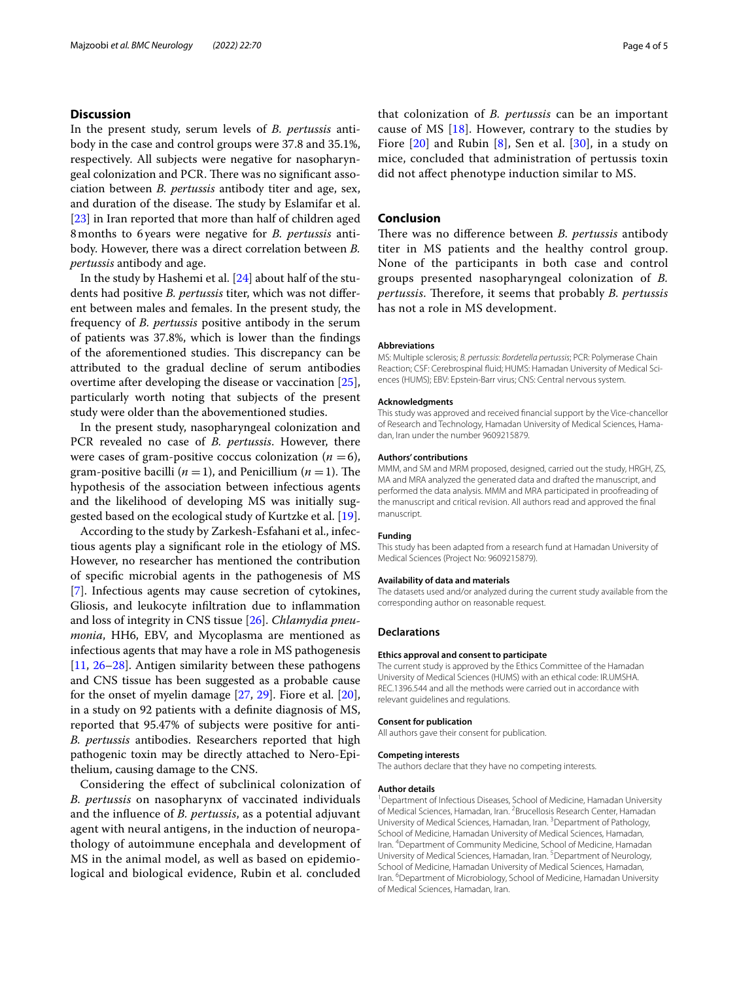# **Discussion**

In the present study, serum levels of *B. pertussis* antibody in the case and control groups were 37.8 and 35.1%, respectively. All subjects were negative for nasopharyngeal colonization and PCR. There was no significant association between *B. pertussis* antibody titer and age, sex, and duration of the disease. The study by Eslamifar et al. [[23\]](#page-4-19) in Iran reported that more than half of children aged 8months to 6 years were negative for *B. pertussis* antibody. However, there was a direct correlation between *B. pertussis* antibody and age.

In the study by Hashemi et al. [[24](#page-4-20)] about half of the students had positive *B. pertussis* titer, which was not diferent between males and females. In the present study, the frequency of *B. pertussis* positive antibody in the serum of patients was 37.8%, which is lower than the fndings of the aforementioned studies. This discrepancy can be attributed to the gradual decline of serum antibodies overtime after developing the disease or vaccination [\[25](#page-4-21)], particularly worth noting that subjects of the present study were older than the abovementioned studies.

In the present study, nasopharyngeal colonization and PCR revealed no case of *B. pertussis*. However, there were cases of gram-positive coccus colonization  $(n = 6)$ , gram-positive bacilli  $(n = 1)$ , and Penicillium  $(n = 1)$ . The hypothesis of the association between infectious agents and the likelihood of developing MS was initially suggested based on the ecological study of Kurtzke et al. [\[19](#page-4-15)].

According to the study by Zarkesh-Esfahani et al., infectious agents play a signifcant role in the etiology of MS. However, no researcher has mentioned the contribution of specifc microbial agents in the pathogenesis of MS [[7\]](#page-4-3). Infectious agents may cause secretion of cytokines, Gliosis, and leukocyte infltration due to infammation and loss of integrity in CNS tissue [\[26\]](#page-4-22). *Chlamydia pneumonia*, HH6, EBV, and Mycoplasma are mentioned as infectious agents that may have a role in MS pathogenesis [[11,](#page-4-7) [26–](#page-4-22)[28\]](#page-4-23). Antigen similarity between these pathogens and CNS tissue has been suggested as a probable cause for the onset of myelin damage [\[27,](#page-4-24) [29\]](#page-4-25). Fiore et al. [\[20](#page-4-16)], in a study on 92 patients with a defnite diagnosis of MS, reported that 95.47% of subjects were positive for anti-*B. pertussis* antibodies. Researchers reported that high pathogenic toxin may be directly attached to Nero-Epithelium, causing damage to the CNS.

Considering the efect of subclinical colonization of *B. pertussis* on nasopharynx of vaccinated individuals and the infuence of *B. pertussis*, as a potential adjuvant agent with neural antigens, in the induction of neuropathology of autoimmune encephala and development of MS in the animal model, as well as based on epidemiological and biological evidence, Rubin et al. concluded

that colonization of *B. pertussis* can be an important cause of MS [[18\]](#page-4-14). However, contrary to the studies by Fiore  $[20]$  $[20]$  $[20]$  and Rubin  $[8]$  $[8]$ , Sen et al.  $[30]$  $[30]$ , in a study on mice, concluded that administration of pertussis toxin did not afect phenotype induction similar to MS.

# **Conclusion**

There was no difference between *B. pertussis* antibody titer in MS patients and the healthy control group. None of the participants in both case and control groups presented nasopharyngeal colonization of *B. pertussis*. Therefore, it seems that probably *B. pertussis* has not a role in MS development.

#### **Abbreviations**

MS: Multiple sclerosis; *B. pertussis*: *Bordetella pertussis*; PCR: Polymerase Chain Reaction; CSF: Cerebrospinal fuid; HUMS: Hamadan University of Medical Sciences (HUMS); EBV: Epstein-Barr virus; CNS: Central nervous system.

#### **Acknowledgments**

This study was approved and received fnancial support by the Vice-chancellor of Research and Technology, Hamadan University of Medical Sciences, Hamadan, Iran under the number 9609215879.

## **Authors' contributions**

MMM, and SM and MRM proposed, designed, carried out the study, HRGH, ZS, MA and MRA analyzed the generated data and drafted the manuscript, and performed the data analysis. MMM and MRA participated in proofreading of the manuscript and critical revision. All authors read and approved the fnal manuscript.

#### **Funding**

This study has been adapted from a research fund at Hamadan University of Medical Sciences (Project No: 9609215879).

#### **Availability of data and materials**

The datasets used and/or analyzed during the current study available from the corresponding author on reasonable request.

#### **Declarations**

## **Ethics approval and consent to participate**

The current study is approved by the Ethics Committee of the Hamadan University of Medical Sciences (HUMS) with an ethical code: IR.UMSHA. REC.1396.544 and all the methods were carried out in accordance with relevant guidelines and regulations.

#### **Consent for publication**

All authors gave their consent for publication.

#### **Competing interests**

The authors declare that they have no competing interests.

#### **Author details**

<sup>1</sup> Department of Infectious Diseases, School of Medicine, Hamadan University of Medical Sciences, Hamadan, Iran. <sup>2</sup> Brucellosis Research Center, Hamadan University of Medical Sciences, Hamadan, Iran. <sup>3</sup> Department of Pathology, School of Medicine, Hamadan University of Medical Sciences, Hamadan, Iran. 4 Department of Community Medicine, School of Medicine, Hamadan University of Medical Sciences, Hamadan, Iran.<sup>5</sup> Department of Neurology, School of Medicine, Hamadan University of Medical Sciences, Hamadan, Iran. <sup>6</sup> Department of Microbiology, School of Medicine, Hamadan University of Medical Sciences, Hamadan, Iran.